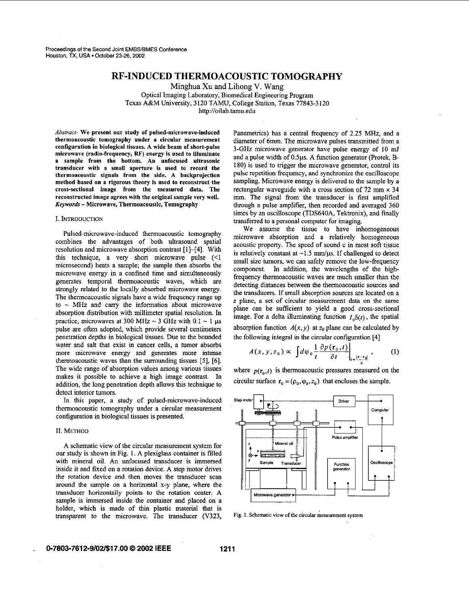# **RF-INDUCED THERMOACOUSTIC TOMOGRAPHY**

Minghua **Xu and** Lihong V. Wang

Optical Imaging Laboratory; Biomedical Engineering Program Texas A&M University, 3120 **TAW,** College Station, Texas 77843-3120 http://oilab.tamu.edu

Abstract- We present our study of pulsed-microwave-induced thermoacoustic tomography under a circular measurement configuration in biological tissues. A wide beam of short-pulse microwave (radio-frequency, **RF)** energy is used to illuminate a sample from the bottom. An unfocused ultrasonic transducer with **a** small aperture is used to record the thermoacoustic signals from the side. A backprojection method based on a rigorous theory is used to reconstruct the cross-sectional image from the measured data. The reconstructed image agrees with the original sample very well. *Keywords* - Microwave, Thermoacoustic, Tomography

#### I. INTRODUCTION

Pulsed-microwave-induced thermoacoustic tomography combines the advantages of both ultrasound spatial resolution and microwave absorption contrast [1]-[4]. With this technique, a very short microwave pulse (<1 microsecond) heats a sample; the sample then absorbs the microwave energy in a confined time and simultaneously generates temporal thermoacoustic waves, which are strongly related to the locally absorbed microwave energy. The thermoacoustic signals have a wide frequency range up to  $\sim$  MHz and carry the information about microwave absorption distribution with millimeter spatial resolution. In practice, microwaves at 300 MHz  $\sim$  3 GHz with 0.1  $\sim$  1  $\mu$ s pulse are often adopted, which provide several centimeters penetration depths in biological tissues. Due to the bounded water and salt that exist in cancer cells, a tumor absorbs more microwave energy and generates more intense thermoacoustic waves than the surrounding tissues [5], [6]. The wide range of absorption values among various tissues makes it possible to achieve a high image contrast. In addition, the long penetration depth allows this technique to detect interior tumors.

In this paper, a study of pulsed-microwave-induced thermoacoustic tomography under a circular measurement configuration in biological tissues is presented.

#### **11.** METHOD

**A** schematic view of the circular measurement system for our study is shown in Fig. **I.** A plexiglass container is filled with mineral oil. An unfocused transducer is immersed inside it and fixed on a rotation device. A step motor drives the rotation device and then moves the transducer scan around the sample on a horizontal x-y plane, where the transducer horizontally points to the rotation center. A sample is immersed inside the container and placed on a holder, which is made of thin plastic material that is transparent to the microwave. The transducer (V323,

Panametrics) has a central frequency of 2.25 MHz, and a diameter of 6mm. The microwave pulses transmitted from a 3-GHz microwave generator have pulse energy of **IO** mJ and a pulse width of **O.5ps. A** function generator (Protek, B-180) is used to trigger the microwave generator, control its pulse repetition frequency, and synchronize the oscilloscope sampling. Microwave energy is delivered to the sample by a rectangular waveguide with a cross section of 72 mm  $\times$  34 mm. The signal from the transducer is first amplified through a pulse amplifier, then recorded and averaged 360 times by an oscilloscope (TDS640A, Tektronix), and finally transferred to a personal computer for imaging.

We assume the tissue to have inhomogeneous microwave absorption and a relatively homogeneous acoustic property. The speed of sound c in most soft tissue is relatively constant at  $\sim$ 1.5 mm/ $\mu$ s. If challenged to detect small size tumors, we can safely remove the low-frequency component. In addition, the wavelengths of the highfrequency thermoacoustic waves are much smaller than the detecting distances between the thermoacoustic sources and the transducers. If small absorption sources are located on a *z* plane, a set of circular measurement data on the same plane can be sufficient to yield a good cross-sectional image. For a delta illuminating function  $I_0\delta(t)$ , the spatial absorption function  $A(x, y)$  at  $z_0$  plane can be calculated by the following integral in the circular configuration [4]

$$
A(x, y, z_0) \propto \left. \int d\varphi_0 \frac{1}{t} \frac{\partial p(\mathbf{r}_0, t)}{\partial t} \right|_{t = \frac{|\mathbf{r} - \mathbf{r}_0|}{2}}, \quad (1)
$$

where  $p(r_0,t)$  is thermoacoustic pressures measured on the circular surface  $\mathbf{r}_0 = (\rho_0, \varphi_0, z_0)$  that encloses the sample.



Fig. 1. Schematic view of the circular measurement system

# **0-7803-761 2-9/0261 7.00** *0* **2002 IEEE 1211**